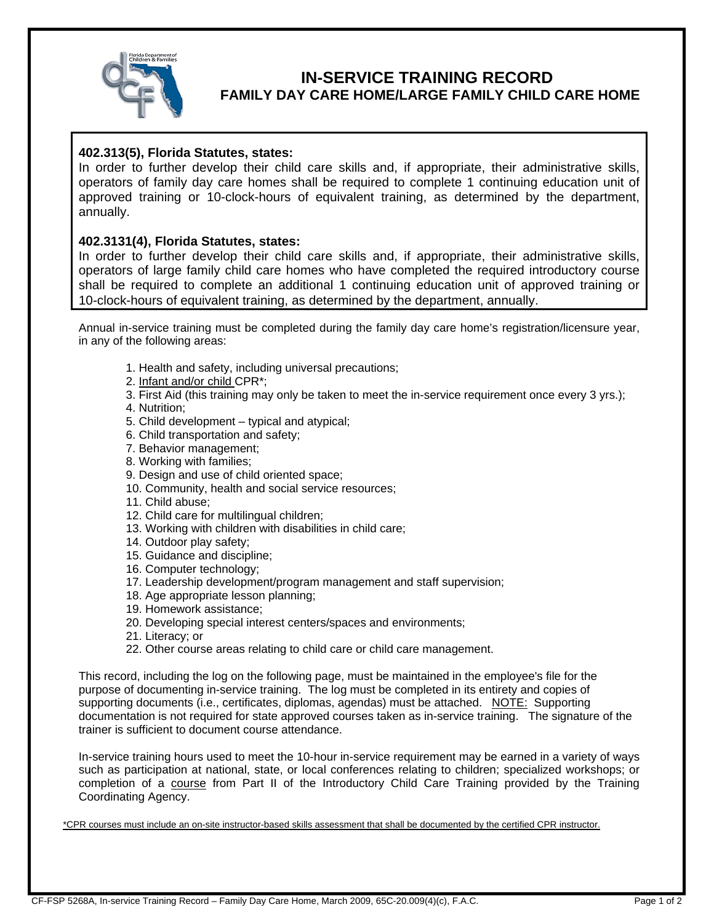

# **IN-SERVICE TRAINING RECORD**

### **FAMILY DAY CARE HOME/LARGE FAMILY CHILD CARE HOME**

#### **402.313(5), Florida Statutes, states:**

In order to further develop their child care skills and, if appropriate, their administrative skills, operators of family day care homes shall be required to complete 1 continuing education unit of approved training or 10-clock-hours of equivalent training, as determined by the department, annually.

#### **402.3131(4), Florida Statutes, states:**

In order to further develop their child care skills and, if appropriate, their administrative skills, operators of large family child care homes who have completed the required introductory course shall be required to complete an additional 1 continuing education unit of approved training or 10-clock-hours of equivalent training, as determined by the department, annually.

Annual in-service training must be completed during the family day care home's registration/licensure year, in any of the following areas:

- 1. Health and safety, including universal precautions;
- 2. Infant and/or child CPR\*;
- 3. First Aid (this training may only be taken to meet the in-service requirement once every 3 yrs.);
- 4. Nutrition;
- 5. Child development typical and atypical;
- 6. Child transportation and safety;
- 7. Behavior management;
- 8. Working with families;
- 9. Design and use of child oriented space;
- 10. Community, health and social service resources;
- 11. Child abuse;
- 12. Child care for multilingual children;
- 13. Working with children with disabilities in child care;
- 14. Outdoor play safety;
- 15. Guidance and discipline;
- 16. Computer technology;
- 17. Leadership development/program management and staff supervision;
- 18. Age appropriate lesson planning;
- 19. Homework assistance;
- 20. Developing special interest centers/spaces and environments;
- 21. Literacy; or
- 22. Other course areas relating to child care or child care management.

This record, including the log on the following page, must be maintained in the employee's file for the purpose of documenting in-service training. The log must be completed in its entirety and copies of supporting documents (i.e., certificates, diplomas, agendas) must be attached. NOTE: Supporting documentation is not required for state approved courses taken as in-service training. The signature of the trainer is sufficient to document course attendance.

In-service training hours used to meet the 10-hour in-service requirement may be earned in a variety of ways such as participation at national, state, or local conferences relating to children; specialized workshops; or completion of a course from Part II of the Introductory Child Care Training provided by the Training Coordinating Agency.

\*CPR courses must include an on-site instructor-based skills assessment that shall be documented by the certified CPR instructor.